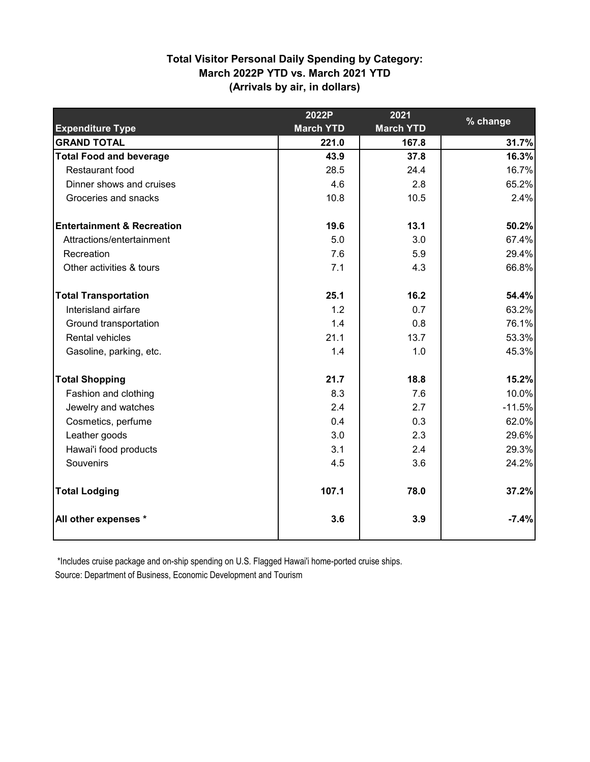# **(Arrivals by air, in dollars) Total Visitor Personal Daily Spending by Category: March 2022P YTD vs. March 2021 YTD**

|                                       | 2022P            | 2021             |          |
|---------------------------------------|------------------|------------------|----------|
| <b>Expenditure Type</b>               | <b>March YTD</b> | <b>March YTD</b> | % change |
| <b>GRAND TOTAL</b>                    | 221.0            | 167.8            | 31.7%    |
| <b>Total Food and beverage</b>        | 43.9             | 37.8             | 16.3%    |
| <b>Restaurant food</b>                | 28.5             | 24.4             | 16.7%    |
| Dinner shows and cruises              | 4.6              | 2.8              | 65.2%    |
| Groceries and snacks                  | 10.8             | 10.5             | 2.4%     |
| <b>Entertainment &amp; Recreation</b> | 19.6             | 13.1             | 50.2%    |
| Attractions/entertainment             | 5.0              | 3.0              | 67.4%    |
| Recreation                            | 7.6              | 5.9              | 29.4%    |
| Other activities & tours              | 7.1              | 4.3              | 66.8%    |
| <b>Total Transportation</b>           | 25.1             | 16.2             | 54.4%    |
| Interisland airfare                   | 1.2              | 0.7              | 63.2%    |
| Ground transportation                 | 1.4              | 0.8              | 76.1%    |
| Rental vehicles                       | 21.1             | 13.7             | 53.3%    |
| Gasoline, parking, etc.               | 1.4              | 1.0              | 45.3%    |
| <b>Total Shopping</b>                 | 21.7             | 18.8             | 15.2%    |
| Fashion and clothing                  | 8.3              | 7.6              | 10.0%    |
| Jewelry and watches                   | 2.4              | 2.7              | $-11.5%$ |
| Cosmetics, perfume                    | 0.4              | 0.3              | 62.0%    |
| Leather goods                         | 3.0              | 2.3              | 29.6%    |
| Hawai'i food products                 | 3.1              | 2.4              | 29.3%    |
| Souvenirs                             | 4.5              | 3.6              | 24.2%    |
| <b>Total Lodging</b>                  | 107.1            | 78.0             | 37.2%    |
| All other expenses *                  | 3.6              | 3.9              | $-7.4%$  |

 \*Includes cruise package and on-ship spending on U.S. Flagged Hawai'i home-ported cruise ships. Source: Department of Business, Economic Development and Tourism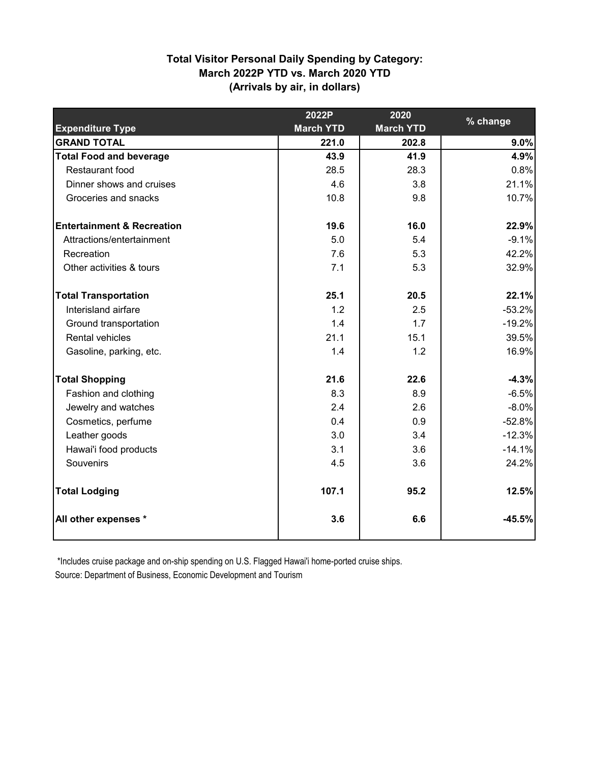# **(Arrivals by air, in dollars) Total Visitor Personal Daily Spending by Category: March 2022P YTD vs. March 2020 YTD**

|                                       | 2022P            | 2020             |          |
|---------------------------------------|------------------|------------------|----------|
| <b>Expenditure Type</b>               | <b>March YTD</b> | <b>March YTD</b> | % change |
| <b>GRAND TOTAL</b>                    | 221.0            | 202.8            | 9.0%     |
| <b>Total Food and beverage</b>        | 43.9             | 41.9             | 4.9%     |
| <b>Restaurant food</b>                | 28.5             | 28.3             | 0.8%     |
| Dinner shows and cruises              | 4.6              | 3.8              | 21.1%    |
| Groceries and snacks                  | 10.8             | 9.8              | 10.7%    |
| <b>Entertainment &amp; Recreation</b> | 19.6             | 16.0             | 22.9%    |
| Attractions/entertainment             | 5.0              | 5.4              | $-9.1%$  |
| Recreation                            | 7.6              | 5.3              | 42.2%    |
| Other activities & tours              | 7.1              | 5.3              | 32.9%    |
| <b>Total Transportation</b>           | 25.1             | 20.5             | 22.1%    |
| Interisland airfare                   | 1.2              | 2.5              | $-53.2%$ |
| Ground transportation                 | 1.4              | 1.7              | $-19.2%$ |
| Rental vehicles                       | 21.1             | 15.1             | 39.5%    |
| Gasoline, parking, etc.               | 1.4              | 1.2              | 16.9%    |
| <b>Total Shopping</b>                 | 21.6             | 22.6             | $-4.3%$  |
| Fashion and clothing                  | 8.3              | 8.9              | $-6.5%$  |
| Jewelry and watches                   | 2.4              | 2.6              | $-8.0%$  |
| Cosmetics, perfume                    | 0.4              | 0.9              | $-52.8%$ |
| Leather goods                         | 3.0              | 3.4              | $-12.3%$ |
| Hawai'i food products                 | 3.1              | 3.6              | $-14.1%$ |
| Souvenirs                             | 4.5              | 3.6              | 24.2%    |
| <b>Total Lodging</b>                  | 107.1            | 95.2             | 12.5%    |
| All other expenses *                  | 3.6              | 6.6              | $-45.5%$ |

 \*Includes cruise package and on-ship spending on U.S. Flagged Hawai'i home-ported cruise ships. Source: Department of Business, Economic Development and Tourism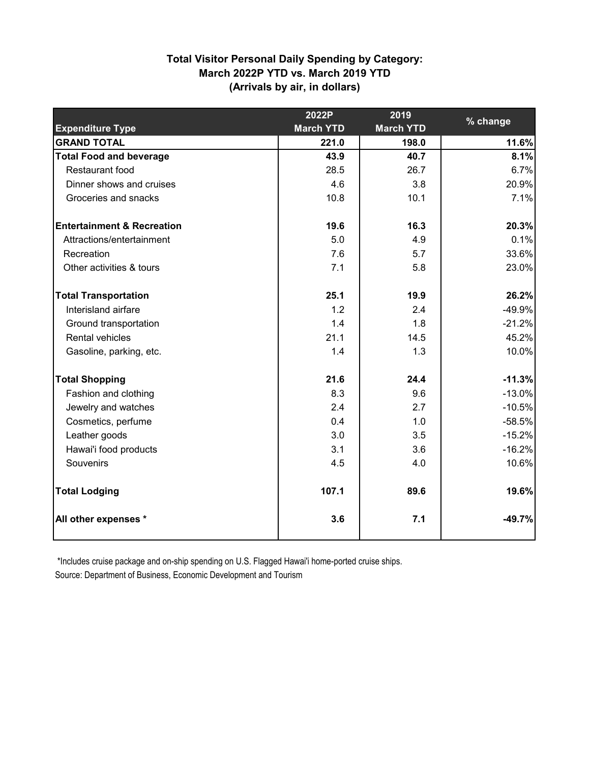# **(Arrivals by air, in dollars) Total Visitor Personal Daily Spending by Category: March 2022P YTD vs. March 2019 YTD**

|                                       | 2022P            | 2019             |          |
|---------------------------------------|------------------|------------------|----------|
| <b>Expenditure Type</b>               | <b>March YTD</b> | <b>March YTD</b> | % change |
| <b>GRAND TOTAL</b>                    | 221.0            | 198.0            | 11.6%    |
| <b>Total Food and beverage</b>        | 43.9             | 40.7             | 8.1%     |
| <b>Restaurant food</b>                | 28.5             | 26.7             | 6.7%     |
| Dinner shows and cruises              | 4.6              | 3.8              | 20.9%    |
| Groceries and snacks                  | 10.8             | 10.1             | 7.1%     |
| <b>Entertainment &amp; Recreation</b> | 19.6             | 16.3             | 20.3%    |
| Attractions/entertainment             | 5.0              | 4.9              | 0.1%     |
| Recreation                            | 7.6              | 5.7              | 33.6%    |
| Other activities & tours              | 7.1              | 5.8              | 23.0%    |
| <b>Total Transportation</b>           | 25.1             | 19.9             | 26.2%    |
| Interisland airfare                   | 1.2              | 2.4              | $-49.9%$ |
| Ground transportation                 | 1.4              | 1.8              | $-21.2%$ |
| Rental vehicles                       | 21.1             | 14.5             | 45.2%    |
| Gasoline, parking, etc.               | 1.4              | 1.3              | 10.0%    |
| <b>Total Shopping</b>                 | 21.6             | 24.4             | $-11.3%$ |
| Fashion and clothing                  | 8.3              | 9.6              | $-13.0%$ |
| Jewelry and watches                   | 2.4              | 2.7              | $-10.5%$ |
| Cosmetics, perfume                    | 0.4              | 1.0              | $-58.5%$ |
| Leather goods                         | 3.0              | 3.5              | $-15.2%$ |
| Hawai'i food products                 | 3.1              | 3.6              | $-16.2%$ |
| Souvenirs                             | 4.5              | 4.0              | 10.6%    |
| <b>Total Lodging</b>                  | 107.1            | 89.6             | 19.6%    |
| All other expenses *                  | 3.6              | 7.1              | $-49.7%$ |

 \*Includes cruise package and on-ship spending on U.S. Flagged Hawai'i home-ported cruise ships. Source: Department of Business, Economic Development and Tourism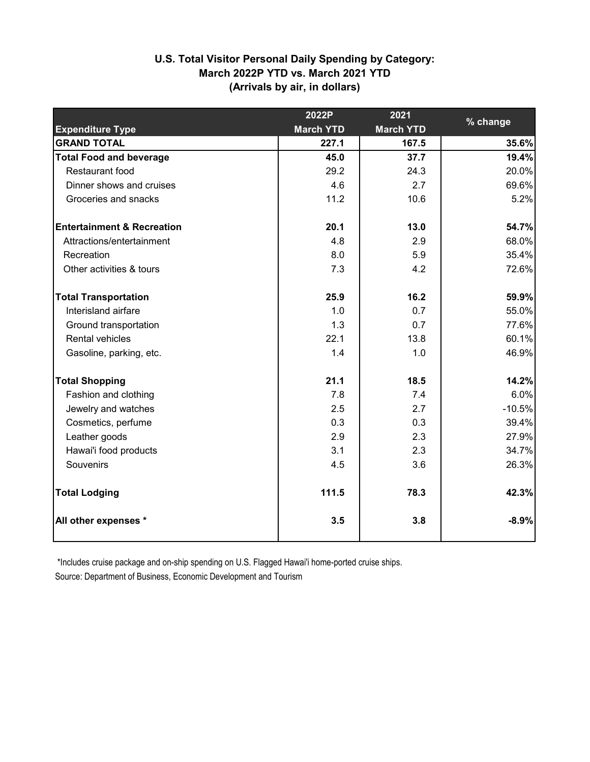## **(Arrivals by air, in dollars) U.S. Total Visitor Personal Daily Spending by Category: March 2022P YTD vs. March 2021 YTD**

|                                       | 2022P            | 2021             |          |
|---------------------------------------|------------------|------------------|----------|
| <b>Expenditure Type</b>               | <b>March YTD</b> | <b>March YTD</b> | % change |
| <b>GRAND TOTAL</b>                    | 227.1            | 167.5            | 35.6%    |
| <b>Total Food and beverage</b>        | 45.0             | 37.7             | 19.4%    |
| Restaurant food                       | 29.2             | 24.3             | 20.0%    |
| Dinner shows and cruises              | 4.6              | 2.7              | 69.6%    |
| Groceries and snacks                  | 11.2             | 10.6             | 5.2%     |
| <b>Entertainment &amp; Recreation</b> | 20.1             | 13.0             | 54.7%    |
| Attractions/entertainment             | 4.8              | 2.9              | 68.0%    |
| Recreation                            | 8.0              | 5.9              | 35.4%    |
| Other activities & tours              | 7.3              | 4.2              | 72.6%    |
| <b>Total Transportation</b>           | 25.9             | 16.2             | 59.9%    |
| Interisland airfare                   | 1.0              | 0.7              | 55.0%    |
| Ground transportation                 | 1.3              | 0.7              | 77.6%    |
| Rental vehicles                       | 22.1             | 13.8             | 60.1%    |
| Gasoline, parking, etc.               | 1.4              | 1.0              | 46.9%    |
| <b>Total Shopping</b>                 | 21.1             | 18.5             | 14.2%    |
| Fashion and clothing                  | 7.8              | 7.4              | 6.0%     |
| Jewelry and watches                   | 2.5              | 2.7              | $-10.5%$ |
| Cosmetics, perfume                    | 0.3              | 0.3              | 39.4%    |
| Leather goods                         | 2.9              | 2.3              | 27.9%    |
| Hawai'i food products                 | 3.1              | 2.3              | 34.7%    |
| Souvenirs                             | 4.5              | 3.6              | 26.3%    |
| <b>Total Lodging</b>                  | 111.5            | 78.3             | 42.3%    |
| All other expenses *                  | 3.5              | 3.8              | $-8.9%$  |

\*Includes cruise package and on-ship spending on U.S. Flagged Hawai'i home-ported cruise ships.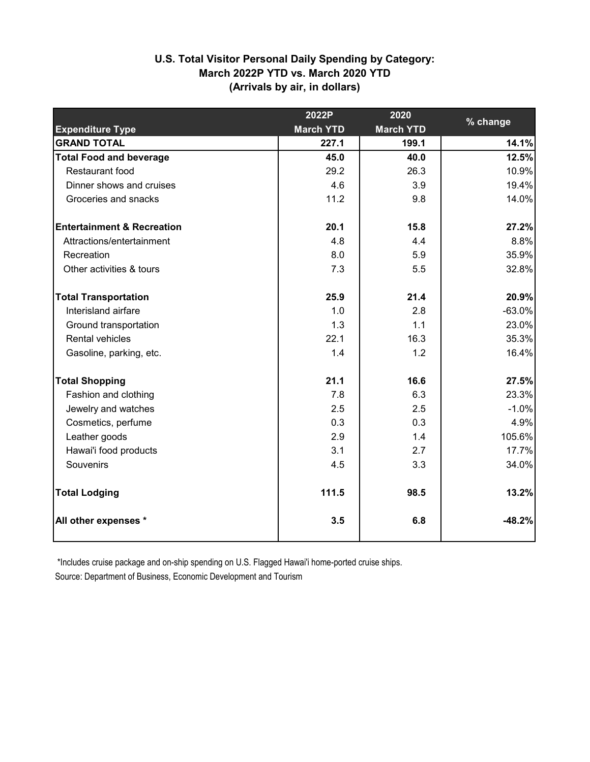# **(Arrivals by air, in dollars) U.S. Total Visitor Personal Daily Spending by Category: March 2022P YTD vs. March 2020 YTD**

|                                       | 2022P            | 2020             |          |
|---------------------------------------|------------------|------------------|----------|
| <b>Expenditure Type</b>               | <b>March YTD</b> | <b>March YTD</b> | % change |
| <b>GRAND TOTAL</b>                    | 227.1            | 199.1            | 14.1%    |
| <b>Total Food and beverage</b>        | 45.0             | 40.0             | 12.5%    |
| Restaurant food                       | 29.2             | 26.3             | 10.9%    |
| Dinner shows and cruises              | 4.6              | 3.9              | 19.4%    |
| Groceries and snacks                  | 11.2             | 9.8              | 14.0%    |
| <b>Entertainment &amp; Recreation</b> | 20.1             | 15.8             | 27.2%    |
| Attractions/entertainment             | 4.8              | 4.4              | 8.8%     |
| Recreation                            | 8.0              | 5.9              | 35.9%    |
| Other activities & tours              | 7.3              | 5.5              | 32.8%    |
| <b>Total Transportation</b>           | 25.9             | 21.4             | 20.9%    |
| Interisland airfare                   | 1.0              | 2.8              | $-63.0%$ |
| Ground transportation                 | 1.3              | 1.1              | 23.0%    |
| Rental vehicles                       | 22.1             | 16.3             | 35.3%    |
| Gasoline, parking, etc.               | 1.4              | 1.2              | 16.4%    |
| <b>Total Shopping</b>                 | 21.1             | 16.6             | 27.5%    |
| Fashion and clothing                  | 7.8              | 6.3              | 23.3%    |
| Jewelry and watches                   | 2.5              | 2.5              | $-1.0%$  |
| Cosmetics, perfume                    | 0.3              | 0.3              | 4.9%     |
| Leather goods                         | 2.9              | 1.4              | 105.6%   |
| Hawai'i food products                 | 3.1              | 2.7              | 17.7%    |
| Souvenirs                             | 4.5              | 3.3              | 34.0%    |
| <b>Total Lodging</b>                  | 111.5            | 98.5             | 13.2%    |
| All other expenses *                  | 3.5              | 6.8              | $-48.2%$ |

\*Includes cruise package and on-ship spending on U.S. Flagged Hawai'i home-ported cruise ships.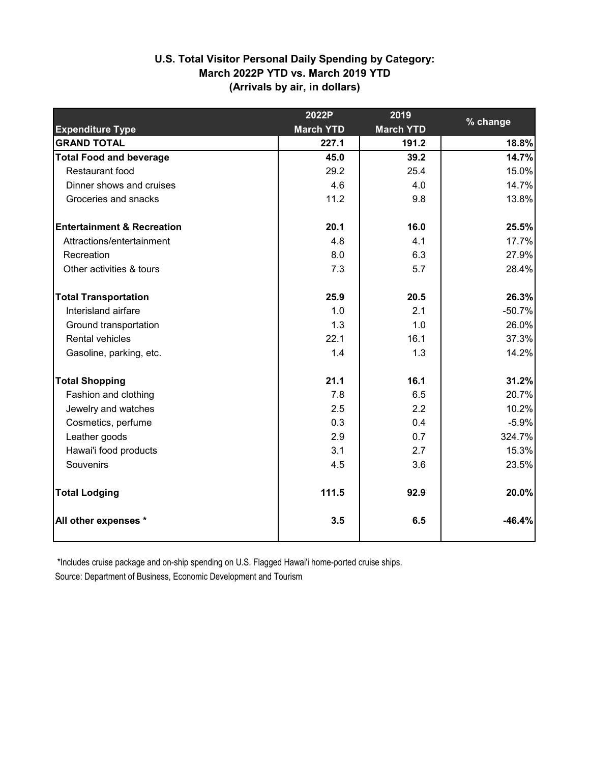# **(Arrivals by air, in dollars) U.S. Total Visitor Personal Daily Spending by Category: March 2022P YTD vs. March 2019 YTD**

|                                       | 2022P            | 2019             | % change |
|---------------------------------------|------------------|------------------|----------|
| <b>Expenditure Type</b>               | <b>March YTD</b> | <b>March YTD</b> |          |
| <b>GRAND TOTAL</b>                    | 227.1            | 191.2            | 18.8%    |
| <b>Total Food and beverage</b>        | 45.0             | 39.2             | 14.7%    |
| Restaurant food                       | 29.2             | 25.4             | 15.0%    |
| Dinner shows and cruises              | 4.6              | 4.0              | 14.7%    |
| Groceries and snacks                  | 11.2             | 9.8              | 13.8%    |
| <b>Entertainment &amp; Recreation</b> | 20.1             | 16.0             | 25.5%    |
| Attractions/entertainment             | 4.8              | 4.1              | 17.7%    |
| Recreation                            | 8.0              | 6.3              | 27.9%    |
| Other activities & tours              | 7.3              | 5.7              | 28.4%    |
| <b>Total Transportation</b>           | 25.9             | 20.5             | 26.3%    |
| Interisland airfare                   | 1.0              | 2.1              | $-50.7%$ |
| Ground transportation                 | 1.3              | 1.0              | 26.0%    |
| Rental vehicles                       | 22.1             | 16.1             | 37.3%    |
| Gasoline, parking, etc.               | 1.4              | 1.3              | 14.2%    |
| <b>Total Shopping</b>                 | 21.1             | 16.1             | 31.2%    |
| Fashion and clothing                  | 7.8              | 6.5              | 20.7%    |
| Jewelry and watches                   | 2.5              | 2.2              | 10.2%    |
| Cosmetics, perfume                    | 0.3              | 0.4              | $-5.9%$  |
| Leather goods                         | 2.9              | 0.7              | 324.7%   |
| Hawai'i food products                 | 3.1              | 2.7              | 15.3%    |
| Souvenirs                             | 4.5              | 3.6              | 23.5%    |
| <b>Total Lodging</b>                  | 111.5            | 92.9             | 20.0%    |
| All other expenses *                  | 3.5              | 6.5              | $-46.4%$ |

\*Includes cruise package and on-ship spending on U.S. Flagged Hawai'i home-ported cruise ships.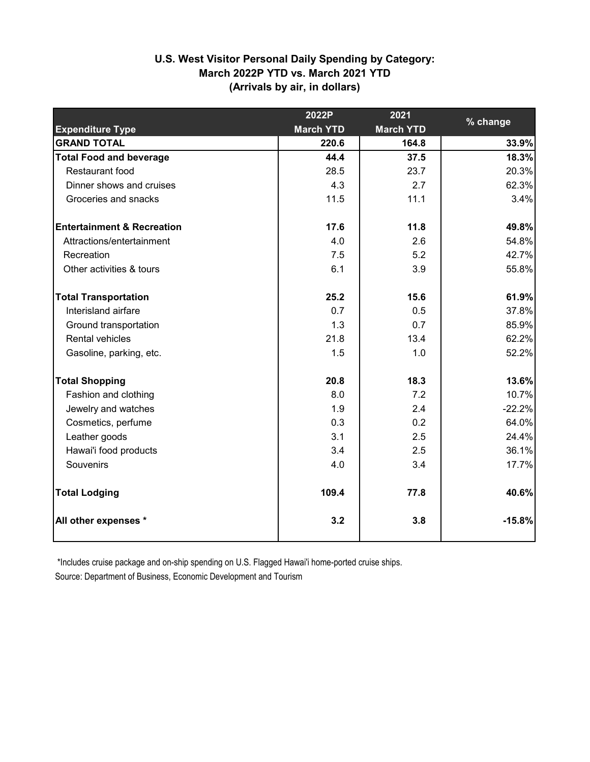# **(Arrivals by air, in dollars) U.S. West Visitor Personal Daily Spending by Category: March 2022P YTD vs. March 2021 YTD**

|                                       | 2022P            | 2021             |          |
|---------------------------------------|------------------|------------------|----------|
| <b>Expenditure Type</b>               | <b>March YTD</b> | <b>March YTD</b> | % change |
| <b>GRAND TOTAL</b>                    | 220.6            | 164.8            | 33.9%    |
| <b>Total Food and beverage</b>        | 44.4             | 37.5             | 18.3%    |
| Restaurant food                       | 28.5             | 23.7             | 20.3%    |
| Dinner shows and cruises              | 4.3              | 2.7              | 62.3%    |
| Groceries and snacks                  | 11.5             | 11.1             | 3.4%     |
| <b>Entertainment &amp; Recreation</b> | 17.6             | 11.8             | 49.8%    |
| Attractions/entertainment             | 4.0              | 2.6              | 54.8%    |
| Recreation                            | 7.5              | 5.2              | 42.7%    |
| Other activities & tours              | 6.1              | 3.9              | 55.8%    |
| <b>Total Transportation</b>           | 25.2             | 15.6             | 61.9%    |
| Interisland airfare                   | 0.7              | 0.5              | 37.8%    |
| Ground transportation                 | 1.3              | 0.7              | 85.9%    |
| <b>Rental vehicles</b>                | 21.8             | 13.4             | 62.2%    |
| Gasoline, parking, etc.               | 1.5              | 1.0              | 52.2%    |
| <b>Total Shopping</b>                 | 20.8             | 18.3             | 13.6%    |
| Fashion and clothing                  | 8.0              | 7.2              | 10.7%    |
| Jewelry and watches                   | 1.9              | 2.4              | $-22.2%$ |
| Cosmetics, perfume                    | 0.3              | 0.2              | 64.0%    |
| Leather goods                         | 3.1              | 2.5              | 24.4%    |
| Hawai'i food products                 | 3.4              | 2.5              | 36.1%    |
| Souvenirs                             | 4.0              | 3.4              | 17.7%    |
| <b>Total Lodging</b>                  | 109.4            | 77.8             | 40.6%    |
| All other expenses *                  | 3.2              | 3.8              | $-15.8%$ |

\*Includes cruise package and on-ship spending on U.S. Flagged Hawai'i home-ported cruise ships.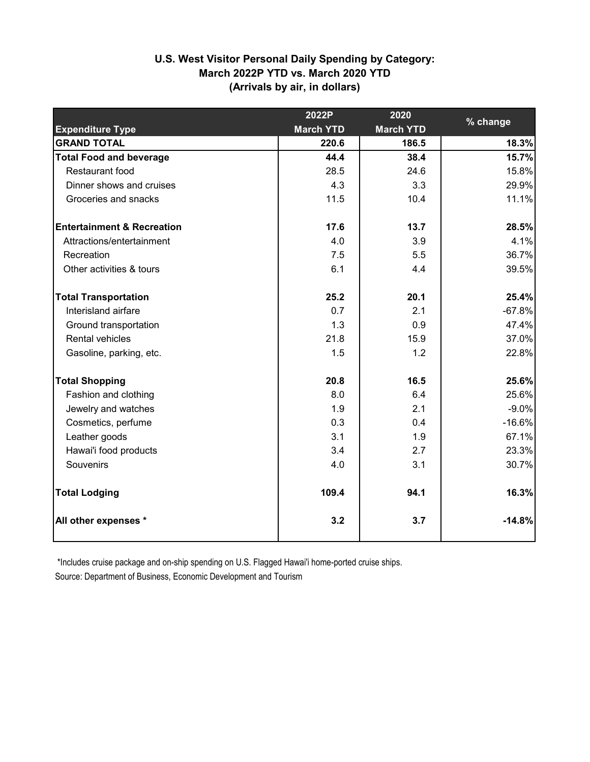# **(Arrivals by air, in dollars) U.S. West Visitor Personal Daily Spending by Category: March 2022P YTD vs. March 2020 YTD**

|                                       | 2022P            | 2020             | % change |
|---------------------------------------|------------------|------------------|----------|
| <b>Expenditure Type</b>               | <b>March YTD</b> | <b>March YTD</b> |          |
| <b>GRAND TOTAL</b>                    | 220.6            | 186.5            | 18.3%    |
| <b>Total Food and beverage</b>        | 44.4             | 38.4             | 15.7%    |
| Restaurant food                       | 28.5             | 24.6             | 15.8%    |
| Dinner shows and cruises              | 4.3              | 3.3              | 29.9%    |
| Groceries and snacks                  | 11.5             | 10.4             | 11.1%    |
| <b>Entertainment &amp; Recreation</b> | 17.6             | 13.7             | 28.5%    |
| Attractions/entertainment             | 4.0              | 3.9              | 4.1%     |
| Recreation                            | 7.5              | 5.5              | 36.7%    |
| Other activities & tours              | 6.1              | 4.4              | 39.5%    |
| <b>Total Transportation</b>           | 25.2             | 20.1             | 25.4%    |
| Interisland airfare                   | 0.7              | 2.1              | $-67.8%$ |
| Ground transportation                 | 1.3              | 0.9              | 47.4%    |
| Rental vehicles                       | 21.8             | 15.9             | 37.0%    |
| Gasoline, parking, etc.               | 1.5              | 1.2              | 22.8%    |
| <b>Total Shopping</b>                 | 20.8             | 16.5             | 25.6%    |
| Fashion and clothing                  | 8.0              | 6.4              | 25.6%    |
| Jewelry and watches                   | 1.9              | 2.1              | $-9.0%$  |
| Cosmetics, perfume                    | 0.3              | 0.4              | $-16.6%$ |
| Leather goods                         | 3.1              | 1.9              | 67.1%    |
| Hawai'i food products                 | 3.4              | 2.7              | 23.3%    |
| Souvenirs                             | 4.0              | 3.1              | 30.7%    |
| <b>Total Lodging</b>                  | 109.4            | 94.1             | 16.3%    |
| All other expenses *                  | 3.2              | 3.7              | $-14.8%$ |

\*Includes cruise package and on-ship spending on U.S. Flagged Hawai'i home-ported cruise ships.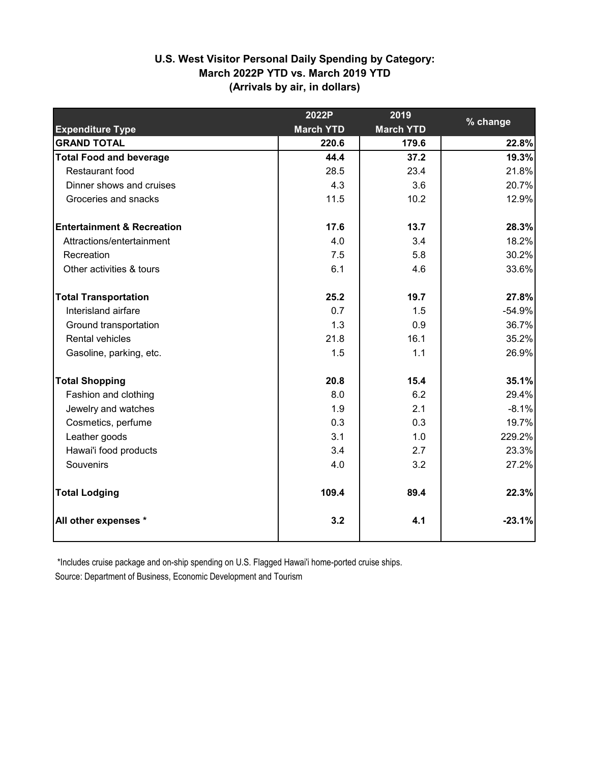# **(Arrivals by air, in dollars) U.S. West Visitor Personal Daily Spending by Category: March 2022P YTD vs. March 2019 YTD**

|                                       | 2022P            | 2019             | % change |
|---------------------------------------|------------------|------------------|----------|
| <b>Expenditure Type</b>               | <b>March YTD</b> | <b>March YTD</b> |          |
| <b>GRAND TOTAL</b>                    | 220.6            | 179.6            | 22.8%    |
| <b>Total Food and beverage</b>        | 44.4             | 37.2             | 19.3%    |
| Restaurant food                       | 28.5             | 23.4             | 21.8%    |
| Dinner shows and cruises              | 4.3              | 3.6              | 20.7%    |
| Groceries and snacks                  | 11.5             | 10.2             | 12.9%    |
| <b>Entertainment &amp; Recreation</b> | 17.6             | 13.7             | 28.3%    |
| Attractions/entertainment             | 4.0              | 3.4              | 18.2%    |
| Recreation                            | 7.5              | 5.8              | 30.2%    |
| Other activities & tours              | 6.1              | 4.6              | 33.6%    |
| <b>Total Transportation</b>           | 25.2             | 19.7             | 27.8%    |
| Interisland airfare                   | 0.7              | 1.5              | $-54.9%$ |
| Ground transportation                 | 1.3              | 0.9              | 36.7%    |
| Rental vehicles                       | 21.8             | 16.1             | 35.2%    |
| Gasoline, parking, etc.               | 1.5              | 1.1              | 26.9%    |
| <b>Total Shopping</b>                 | 20.8             | 15.4             | 35.1%    |
| Fashion and clothing                  | 8.0              | 6.2              | 29.4%    |
| Jewelry and watches                   | 1.9              | 2.1              | $-8.1%$  |
| Cosmetics, perfume                    | 0.3              | 0.3              | 19.7%    |
| Leather goods                         | 3.1              | 1.0              | 229.2%   |
| Hawai'i food products                 | 3.4              | 2.7              | 23.3%    |
| Souvenirs                             | 4.0              | 3.2              | 27.2%    |
| <b>Total Lodging</b>                  | 109.4            | 89.4             | 22.3%    |
| All other expenses *                  | 3.2              | 4.1              | $-23.1%$ |

\*Includes cruise package and on-ship spending on U.S. Flagged Hawai'i home-ported cruise ships.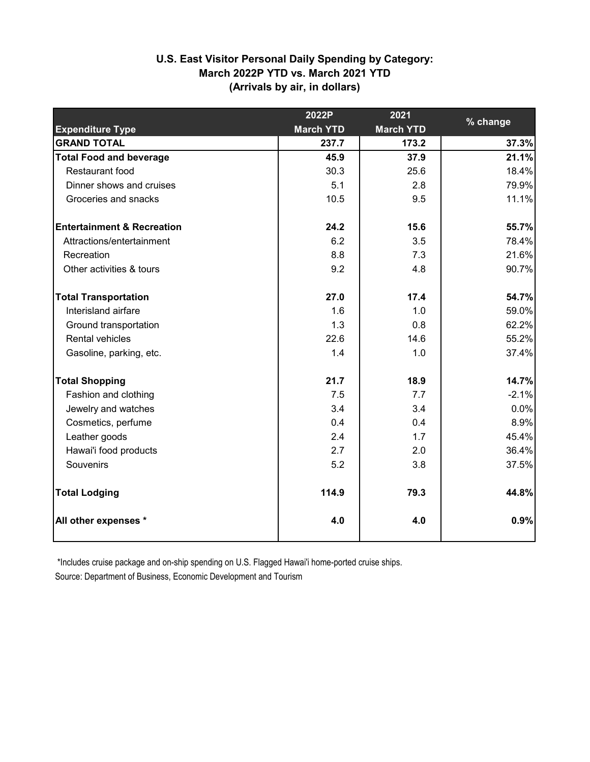# **U.S. East Visitor Personal Daily Spending by Category: March 2022P YTD vs. March 2021 YTD (Arrivals by air, in dollars)**

|                                       | 2022P            | 2021             | % change |
|---------------------------------------|------------------|------------------|----------|
| <b>Expenditure Type</b>               | <b>March YTD</b> | <b>March YTD</b> |          |
| <b>GRAND TOTAL</b>                    | 237.7            | 173.2            | 37.3%    |
| <b>Total Food and beverage</b>        | 45.9             | 37.9             | 21.1%    |
| Restaurant food                       | 30.3             | 25.6             | 18.4%    |
| Dinner shows and cruises              | 5.1              | 2.8              | 79.9%    |
| Groceries and snacks                  | 10.5             | 9.5              | 11.1%    |
| <b>Entertainment &amp; Recreation</b> | 24.2             | 15.6             | 55.7%    |
| Attractions/entertainment             | 6.2              | 3.5              | 78.4%    |
| Recreation                            | 8.8              | 7.3              | 21.6%    |
| Other activities & tours              | 9.2              | 4.8              | 90.7%    |
| <b>Total Transportation</b>           | 27.0             | 17.4             | 54.7%    |
| Interisland airfare                   | 1.6              | 1.0              | 59.0%    |
| Ground transportation                 | 1.3              | 0.8              | 62.2%    |
| Rental vehicles                       | 22.6             | 14.6             | 55.2%    |
| Gasoline, parking, etc.               | 1.4              | 1.0              | 37.4%    |
| <b>Total Shopping</b>                 | 21.7             | 18.9             | 14.7%    |
| Fashion and clothing                  | 7.5              | 7.7              | $-2.1%$  |
| Jewelry and watches                   | 3.4              | 3.4              | 0.0%     |
| Cosmetics, perfume                    | 0.4              | 0.4              | 8.9%     |
| Leather goods                         | 2.4              | 1.7              | 45.4%    |
| Hawai'i food products                 | 2.7              | 2.0              | 36.4%    |
| Souvenirs                             | 5.2              | 3.8              | 37.5%    |
| <b>Total Lodging</b>                  | 114.9            | 79.3             | 44.8%    |
| All other expenses *                  | 4.0              | 4.0              | 0.9%     |

\*Includes cruise package and on-ship spending on U.S. Flagged Hawai'i home-ported cruise ships.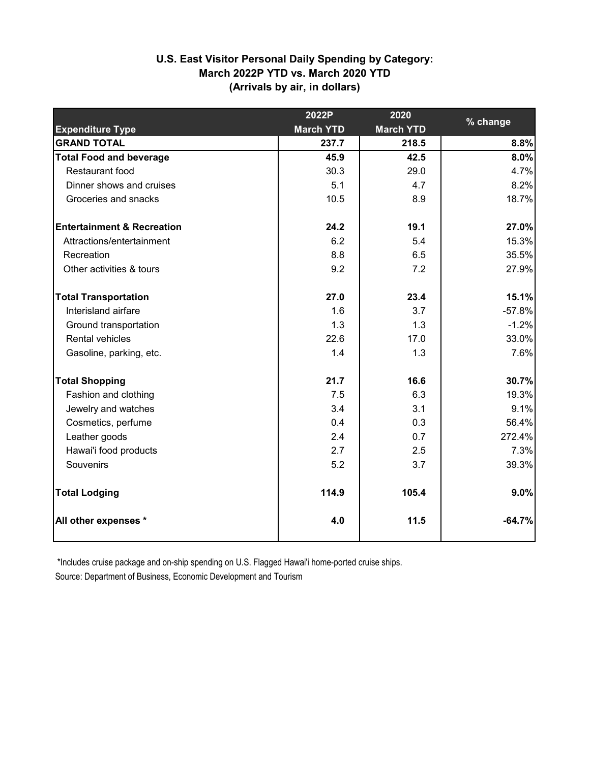# **U.S. East Visitor Personal Daily Spending by Category: March 2022P YTD vs. March 2020 YTD (Arrivals by air, in dollars)**

|                                       | 2022P            | 2020             |          |
|---------------------------------------|------------------|------------------|----------|
| <b>Expenditure Type</b>               | <b>March YTD</b> | <b>March YTD</b> | % change |
| <b>GRAND TOTAL</b>                    | 237.7            | 218.5            | 8.8%     |
| <b>Total Food and beverage</b>        | 45.9             | 42.5             | 8.0%     |
| Restaurant food                       | 30.3             | 29.0             | 4.7%     |
| Dinner shows and cruises              | 5.1              | 4.7              | 8.2%     |
| Groceries and snacks                  | 10.5             | 8.9              | 18.7%    |
| <b>Entertainment &amp; Recreation</b> | 24.2             | 19.1             | 27.0%    |
| Attractions/entertainment             | 6.2              | 5.4              | 15.3%    |
| Recreation                            | 8.8              | 6.5              | 35.5%    |
| Other activities & tours              | 9.2              | 7.2              | 27.9%    |
| <b>Total Transportation</b>           | 27.0             | 23.4             | 15.1%    |
| Interisland airfare                   | 1.6              | 3.7              | $-57.8%$ |
| Ground transportation                 | 1.3              | 1.3              | $-1.2%$  |
| Rental vehicles                       | 22.6             | 17.0             | 33.0%    |
| Gasoline, parking, etc.               | 1.4              | 1.3              | 7.6%     |
| <b>Total Shopping</b>                 | 21.7             | 16.6             | 30.7%    |
| Fashion and clothing                  | 7.5              | 6.3              | 19.3%    |
| Jewelry and watches                   | 3.4              | 3.1              | 9.1%     |
| Cosmetics, perfume                    | 0.4              | 0.3              | 56.4%    |
| Leather goods                         | 2.4              | 0.7              | 272.4%   |
| Hawai'i food products                 | 2.7              | 2.5              | 7.3%     |
| Souvenirs                             | 5.2              | 3.7              | 39.3%    |
| <b>Total Lodging</b>                  | 114.9            | 105.4            | 9.0%     |
| All other expenses *                  | 4.0              | 11.5             | $-64.7%$ |

\*Includes cruise package and on-ship spending on U.S. Flagged Hawai'i home-ported cruise ships.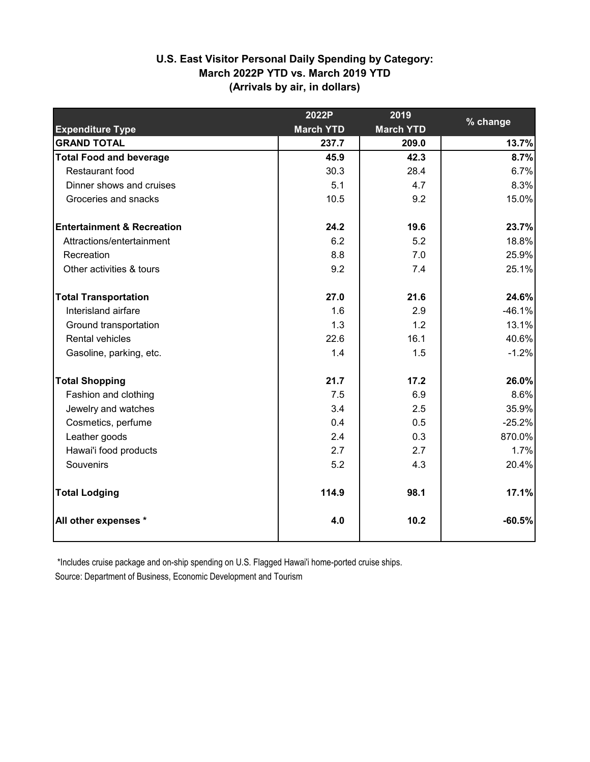# **U.S. East Visitor Personal Daily Spending by Category: March 2022P YTD vs. March 2019 YTD (Arrivals by air, in dollars)**

|                                       | 2022P            | 2019             |          |
|---------------------------------------|------------------|------------------|----------|
| <b>Expenditure Type</b>               | <b>March YTD</b> | <b>March YTD</b> | % change |
| <b>GRAND TOTAL</b>                    | 237.7            | 209.0            | 13.7%    |
| <b>Total Food and beverage</b>        | 45.9             | 42.3             | 8.7%     |
| Restaurant food                       | 30.3             | 28.4             | 6.7%     |
| Dinner shows and cruises              | 5.1              | 4.7              | 8.3%     |
| Groceries and snacks                  | 10.5             | 9.2              | 15.0%    |
| <b>Entertainment &amp; Recreation</b> | 24.2             | 19.6             | 23.7%    |
| Attractions/entertainment             | 6.2              | 5.2              | 18.8%    |
| Recreation                            | 8.8              | 7.0              | 25.9%    |
| Other activities & tours              | 9.2              | 7.4              | 25.1%    |
| <b>Total Transportation</b>           | 27.0             | 21.6             | 24.6%    |
| Interisland airfare                   | 1.6              | 2.9              | $-46.1%$ |
| Ground transportation                 | 1.3              | 1.2              | 13.1%    |
| Rental vehicles                       | 22.6             | 16.1             | 40.6%    |
| Gasoline, parking, etc.               | 1.4              | 1.5              | $-1.2%$  |
| <b>Total Shopping</b>                 | 21.7             | 17.2             | 26.0%    |
| Fashion and clothing                  | 7.5              | 6.9              | 8.6%     |
| Jewelry and watches                   | 3.4              | 2.5              | 35.9%    |
| Cosmetics, perfume                    | 0.4              | 0.5              | $-25.2%$ |
| Leather goods                         | 2.4              | 0.3              | 870.0%   |
| Hawai'i food products                 | 2.7              | 2.7              | 1.7%     |
| Souvenirs                             | 5.2              | 4.3              | 20.4%    |
| <b>Total Lodging</b>                  | 114.9            | 98.1             | 17.1%    |
| All other expenses *                  | 4.0              | 10.2             | $-60.5%$ |

\*Includes cruise package and on-ship spending on U.S. Flagged Hawai'i home-ported cruise ships.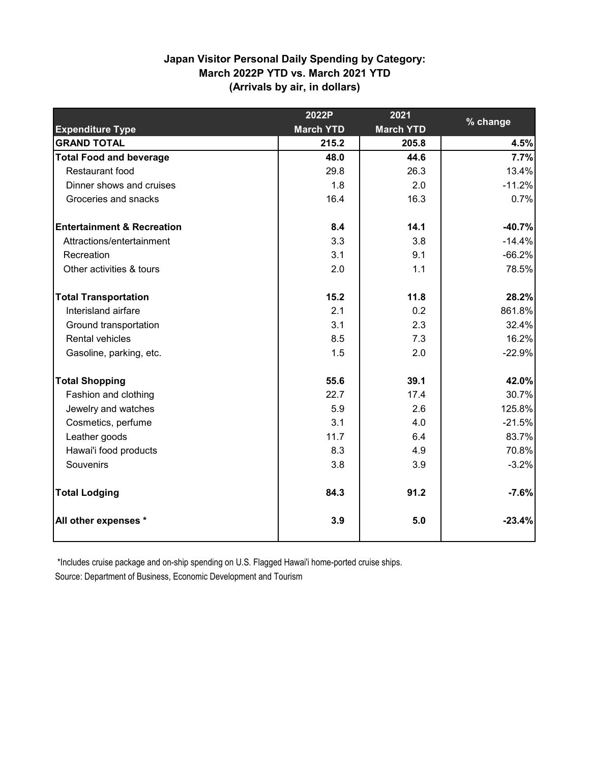## **Japan Visitor Personal Daily Spending by Category: March 2022P YTD vs. March 2021 YTD (Arrivals by air, in dollars)**

|                                       | 2022P            | 2021             |          |
|---------------------------------------|------------------|------------------|----------|
| <b>Expenditure Type</b>               | <b>March YTD</b> | <b>March YTD</b> | % change |
| <b>GRAND TOTAL</b>                    | 215.2            | 205.8            | 4.5%     |
| <b>Total Food and beverage</b>        | 48.0             | 44.6             | 7.7%     |
| Restaurant food                       | 29.8             | 26.3             | 13.4%    |
| Dinner shows and cruises              | 1.8              | 2.0              | $-11.2%$ |
| Groceries and snacks                  | 16.4             | 16.3             | 0.7%     |
| <b>Entertainment &amp; Recreation</b> | 8.4              | 14.1             | $-40.7%$ |
| Attractions/entertainment             | 3.3              | 3.8              | $-14.4%$ |
| Recreation                            | 3.1              | 9.1              | $-66.2%$ |
| Other activities & tours              | 2.0              | 1.1              | 78.5%    |
| <b>Total Transportation</b>           | 15.2             | 11.8             | 28.2%    |
| Interisland airfare                   | 2.1              | 0.2              | 861.8%   |
| Ground transportation                 | 3.1              | 2.3              | 32.4%    |
| <b>Rental vehicles</b>                | 8.5              | 7.3              | 16.2%    |
| Gasoline, parking, etc.               | 1.5              | 2.0              | $-22.9%$ |
| <b>Total Shopping</b>                 | 55.6             | 39.1             | 42.0%    |
| Fashion and clothing                  | 22.7             | 17.4             | 30.7%    |
| Jewelry and watches                   | 5.9              | 2.6              | 125.8%   |
| Cosmetics, perfume                    | 3.1              | 4.0              | $-21.5%$ |
| Leather goods                         | 11.7             | 6.4              | 83.7%    |
| Hawai'i food products                 | 8.3              | 4.9              | 70.8%    |
| Souvenirs                             | 3.8              | 3.9              | $-3.2%$  |
| <b>Total Lodging</b>                  | 84.3             | 91.2             | $-7.6%$  |
| All other expenses *                  | 3.9              | 5.0              | $-23.4%$ |

\*Includes cruise package and on-ship spending on U.S. Flagged Hawai'i home-ported cruise ships.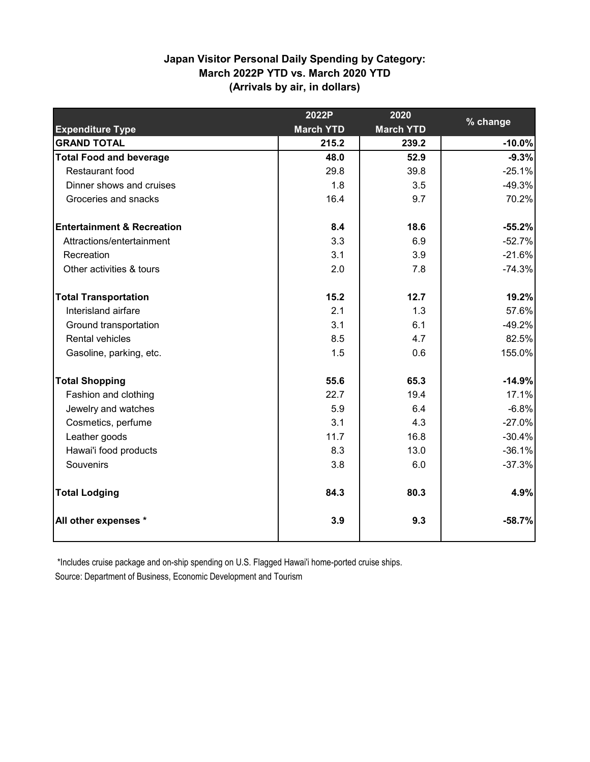## **Japan Visitor Personal Daily Spending by Category: March 2022P YTD vs. March 2020 YTD (Arrivals by air, in dollars)**

|                                       | 2022P            | 2020             |          |
|---------------------------------------|------------------|------------------|----------|
| <b>Expenditure Type</b>               | <b>March YTD</b> | <b>March YTD</b> | % change |
| <b>GRAND TOTAL</b>                    | 215.2            | 239.2            | $-10.0%$ |
| <b>Total Food and beverage</b>        | 48.0             | 52.9             | $-9.3%$  |
| Restaurant food                       | 29.8             | 39.8             | $-25.1%$ |
| Dinner shows and cruises              | 1.8              | 3.5              | $-49.3%$ |
| Groceries and snacks                  | 16.4             | 9.7              | 70.2%    |
| <b>Entertainment &amp; Recreation</b> | 8.4              | 18.6             | $-55.2%$ |
| Attractions/entertainment             | 3.3              | 6.9              | $-52.7%$ |
| Recreation                            | 3.1              | 3.9              | $-21.6%$ |
| Other activities & tours              | 2.0              | 7.8              | $-74.3%$ |
| <b>Total Transportation</b>           | 15.2             | 12.7             | 19.2%    |
| Interisland airfare                   | 2.1              | 1.3              | 57.6%    |
| Ground transportation                 | 3.1              | 6.1              | $-49.2%$ |
| <b>Rental vehicles</b>                | 8.5              | 4.7              | 82.5%    |
| Gasoline, parking, etc.               | 1.5              | 0.6              | 155.0%   |
| <b>Total Shopping</b>                 | 55.6             | 65.3             | $-14.9%$ |
| Fashion and clothing                  | 22.7             | 19.4             | 17.1%    |
| Jewelry and watches                   | 5.9              | 6.4              | $-6.8%$  |
| Cosmetics, perfume                    | 3.1              | 4.3              | $-27.0%$ |
| Leather goods                         | 11.7             | 16.8             | $-30.4%$ |
| Hawai'i food products                 | 8.3              | 13.0             | $-36.1%$ |
| Souvenirs                             | 3.8              | 6.0              | $-37.3%$ |
| <b>Total Lodging</b>                  | 84.3             | 80.3             | 4.9%     |
| All other expenses *                  | 3.9              | 9.3              | $-58.7%$ |

\*Includes cruise package and on-ship spending on U.S. Flagged Hawai'i home-ported cruise ships.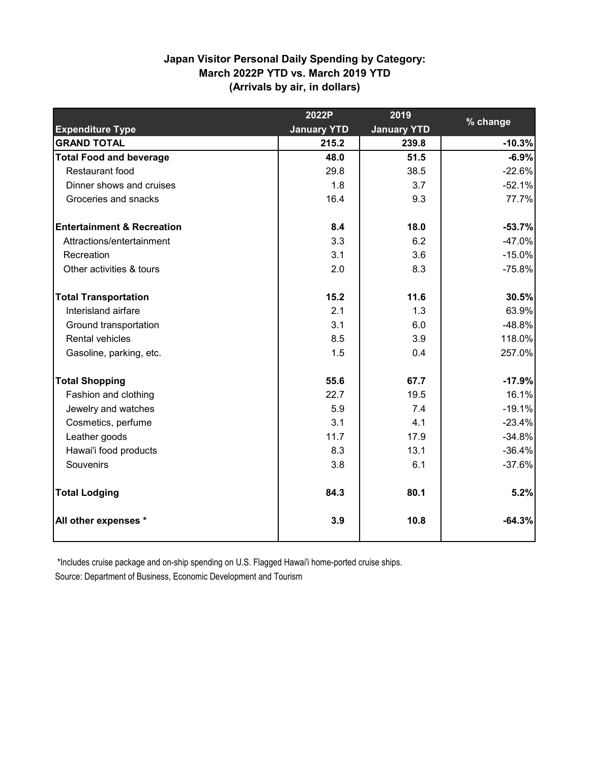## **Japan Visitor Personal Daily Spending by Category: March 2022P YTD vs. March 2019 YTD (Arrivals by air, in dollars)**

|                                       | 2022P              | 2019               |          |
|---------------------------------------|--------------------|--------------------|----------|
| <b>Expenditure Type</b>               | <b>January YTD</b> | <b>January YTD</b> | % change |
| <b>GRAND TOTAL</b>                    | 215.2              | 239.8              | $-10.3%$ |
| <b>Total Food and beverage</b>        | 48.0               | 51.5               | $-6.9%$  |
| Restaurant food                       | 29.8               | 38.5               | $-22.6%$ |
| Dinner shows and cruises              | 1.8                | 3.7                | $-52.1%$ |
| Groceries and snacks                  | 16.4               | 9.3                | 77.7%    |
| <b>Entertainment &amp; Recreation</b> | 8.4                | 18.0               | $-53.7%$ |
| Attractions/entertainment             | 3.3                | 6.2                | $-47.0%$ |
| Recreation                            | 3.1                | 3.6                | $-15.0%$ |
| Other activities & tours              | 2.0                | 8.3                | $-75.8%$ |
| <b>Total Transportation</b>           | 15.2               | 11.6               | 30.5%    |
| Interisland airfare                   | 2.1                | 1.3                | 63.9%    |
| Ground transportation                 | 3.1                | 6.0                | $-48.8%$ |
| <b>Rental vehicles</b>                | 8.5                | 3.9                | 118.0%   |
| Gasoline, parking, etc.               | 1.5                | 0.4                | 257.0%   |
| <b>Total Shopping</b>                 | 55.6               | 67.7               | $-17.9%$ |
| Fashion and clothing                  | 22.7               | 19.5               | 16.1%    |
| Jewelry and watches                   | 5.9                | 7.4                | $-19.1%$ |
| Cosmetics, perfume                    | 3.1                | 4.1                | $-23.4%$ |
| Leather goods                         | 11.7               | 17.9               | $-34.8%$ |
| Hawai'i food products                 | 8.3                | 13.1               | $-36.4%$ |
| Souvenirs                             | 3.8                | 6.1                | $-37.6%$ |
| <b>Total Lodging</b>                  | 84.3               | 80.1               | 5.2%     |
| All other expenses *                  | 3.9                | 10.8               | $-64.3%$ |

\*Includes cruise package and on-ship spending on U.S. Flagged Hawai'i home-ported cruise ships.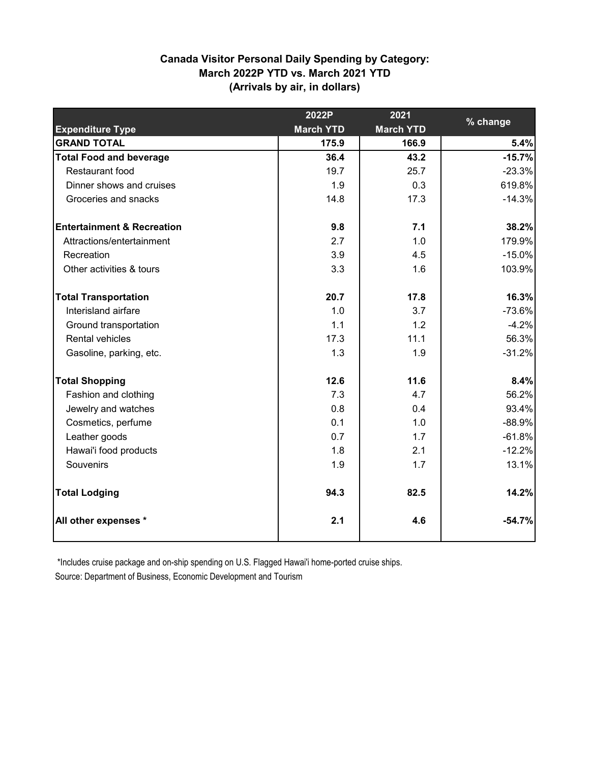## **Canada Visitor Personal Daily Spending by Category: March 2022P YTD vs. March 2021 YTD (Arrivals by air, in dollars)**

|                                       | 2022P            | 2021             | % change |
|---------------------------------------|------------------|------------------|----------|
| <b>Expenditure Type</b>               | <b>March YTD</b> | <b>March YTD</b> |          |
| <b>GRAND TOTAL</b>                    | 175.9            | 166.9            | 5.4%     |
| <b>Total Food and beverage</b>        | 36.4             | 43.2             | $-15.7%$ |
| Restaurant food                       | 19.7             | 25.7             | $-23.3%$ |
| Dinner shows and cruises              | 1.9              | 0.3              | 619.8%   |
| Groceries and snacks                  | 14.8             | 17.3             | $-14.3%$ |
| <b>Entertainment &amp; Recreation</b> | 9.8              | 7.1              | 38.2%    |
| Attractions/entertainment             | 2.7              | 1.0              | 179.9%   |
| Recreation                            | 3.9              | 4.5              | $-15.0%$ |
| Other activities & tours              | 3.3              | 1.6              | 103.9%   |
| <b>Total Transportation</b>           | 20.7             | 17.8             | 16.3%    |
| Interisland airfare                   | 1.0              | 3.7              | $-73.6%$ |
| Ground transportation                 | 1.1              | 1.2              | $-4.2%$  |
| <b>Rental vehicles</b>                | 17.3             | 11.1             | 56.3%    |
| Gasoline, parking, etc.               | 1.3              | 1.9              | $-31.2%$ |
| <b>Total Shopping</b>                 | 12.6             | 11.6             | 8.4%     |
| Fashion and clothing                  | 7.3              | 4.7              | 56.2%    |
| Jewelry and watches                   | 0.8              | 0.4              | 93.4%    |
| Cosmetics, perfume                    | 0.1              | 1.0              | $-88.9%$ |
| Leather goods                         | 0.7              | 1.7              | $-61.8%$ |
| Hawai'i food products                 | 1.8              | 2.1              | $-12.2%$ |
| Souvenirs                             | 1.9              | 1.7              | 13.1%    |
| <b>Total Lodging</b>                  | 94.3             | 82.5             | 14.2%    |
| All other expenses *                  | 2.1              | 4.6              | $-54.7%$ |

\*Includes cruise package and on-ship spending on U.S. Flagged Hawai'i home-ported cruise ships.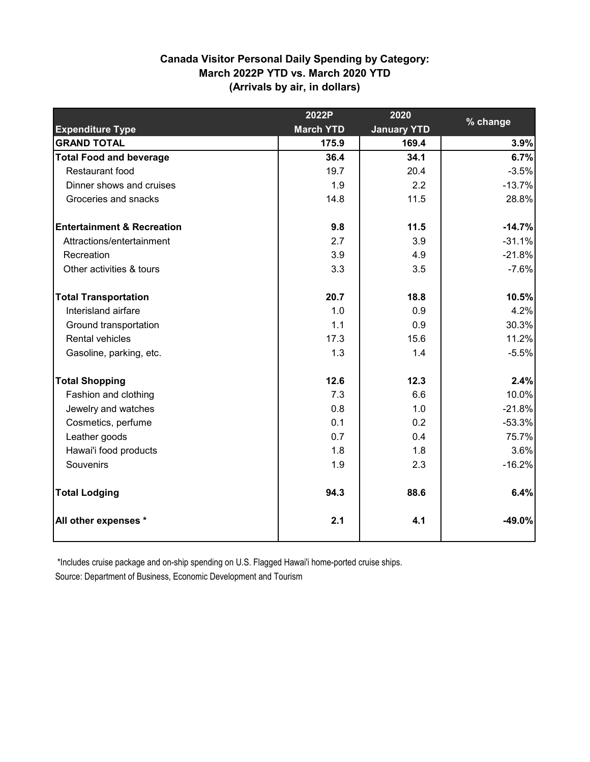## **Canada Visitor Personal Daily Spending by Category: March 2022P YTD vs. March 2020 YTD (Arrivals by air, in dollars)**

|                                       | 2022P            | 2020               | % change |
|---------------------------------------|------------------|--------------------|----------|
| <b>Expenditure Type</b>               | <b>March YTD</b> | <b>January YTD</b> |          |
| <b>GRAND TOTAL</b>                    | 175.9            | 169.4              | 3.9%     |
| <b>Total Food and beverage</b>        | 36.4             | 34.1               | 6.7%     |
| Restaurant food                       | 19.7             | 20.4               | $-3.5%$  |
| Dinner shows and cruises              | 1.9              | 2.2                | $-13.7%$ |
| Groceries and snacks                  | 14.8             | 11.5               | 28.8%    |
| <b>Entertainment &amp; Recreation</b> | 9.8              | 11.5               | $-14.7%$ |
| Attractions/entertainment             | 2.7              | 3.9                | $-31.1%$ |
| Recreation                            | 3.9              | 4.9                | $-21.8%$ |
| Other activities & tours              | 3.3              | 3.5                | $-7.6%$  |
| <b>Total Transportation</b>           | 20.7             | 18.8               | 10.5%    |
| Interisland airfare                   | 1.0              | 0.9                | 4.2%     |
| Ground transportation                 | 1.1              | 0.9                | 30.3%    |
| <b>Rental vehicles</b>                | 17.3             | 15.6               | 11.2%    |
| Gasoline, parking, etc.               | 1.3              | 1.4                | $-5.5%$  |
| <b>Total Shopping</b>                 | 12.6             | 12.3               | 2.4%     |
| Fashion and clothing                  | 7.3              | 6.6                | 10.0%    |
| Jewelry and watches                   | 0.8              | 1.0                | $-21.8%$ |
| Cosmetics, perfume                    | 0.1              | 0.2                | $-53.3%$ |
| Leather goods                         | 0.7              | 0.4                | 75.7%    |
| Hawai'i food products                 | 1.8              | 1.8                | 3.6%     |
| Souvenirs                             | 1.9              | 2.3                | $-16.2%$ |
| <b>Total Lodging</b>                  | 94.3             | 88.6               | 6.4%     |
| All other expenses *                  | 2.1              | 4.1                | $-49.0%$ |

\*Includes cruise package and on-ship spending on U.S. Flagged Hawai'i home-ported cruise ships.